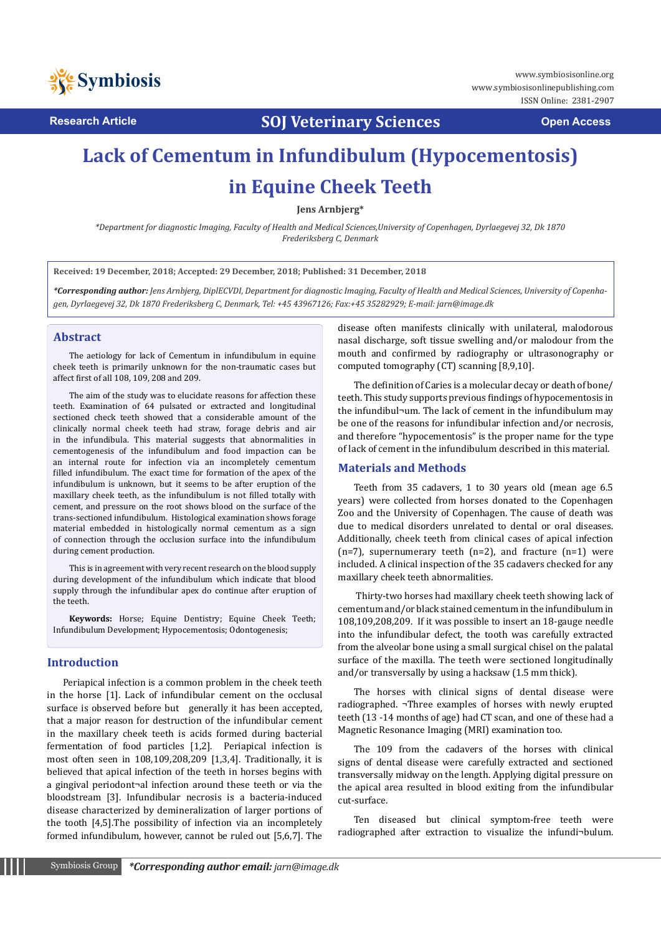

**Research Article SOJ Veterinary Sciences Open Access**

# **Lack of Cementum in Infundibulum (Hypocementosis) in Equine Cheek Teeth**

**Jens Arnbjerg\***

*\*Department for diagnostic Imaging, Faculty of Health and Medical Sciences,University of Copenhagen, Dyrlaegevej 32, Dk 1870 Frederiksberg C, Denmark*

**Received: 19 December, 2018; Accepted: 29 December, 2018; Published: 31 December, 2018**

*\*Corresponding author: Jens Arnbjerg, DiplECVDI, Department for diagnostic Imaging, Faculty of Health and Medical Sciences, University of Copenhagen, Dyrlaegevej 32, Dk 1870 Frederiksberg C, Denmark, Tel: +45 43967126; Fax:+45 35282929; E-mail: jarn@image.dk* 

#### **Abstract**

The aetiology for lack of Cementum in infundibulum in equine cheek teeth is primarily unknown for the non-traumatic cases but affect first of all 108, 109, 208 and 209.

The aim of the study was to elucidate reasons for affection these teeth. Examination of 64 pulsated or extracted and longitudinal sectioned check teeth showed that a considerable amount of the clinically normal cheek teeth had straw, forage debris and air in the infundibula. This material suggests that abnormalities in cementogenesis of the infundibulum and food impaction can be an internal route for infection via an incompletely cementum filled infundibulum. The exact time for formation of the apex of the infundibulum is unknown, but it seems to be after eruption of the maxillary cheek teeth, as the infundibulum is not filled totally with cement, and pressure on the root shows blood on the surface of the trans-sectioned infundibulum. Histological examination shows forage material embedded in histologically normal cementum as a sign of connection through the occlusion surface into the infundibulum during cement production.

This is in agreement with very recent research on the blood supply during development of the infundibulum which indicate that blood supply through the infundibular apex do continue after eruption of the teeth.

**Keywords:** Horse; Equine Dentistry; Equine Cheek Teeth; Infundibulum Development; Hypocementosis; Odontogenesis;

#### **Introduction**

Periapical infection is a common problem in the cheek teeth in the horse [1]. Lack of infundibular cement on the occlusal surface is observed before but generally it has been accepted, that a major reason for destruction of the infundibular cement in the maxillary cheek teeth is acids formed during bacterial fermentation of food particles [1,2]. Periapical infection is most often seen in 108,109,208,209 [1,3,4]. Traditionally, it is believed that apical infection of the teeth in horses begins with a gingival periodont¬al infection around these teeth or via the bloodstream [3]. Infundibular necrosis is a bacteria-induced disease characterized by demineralization of larger portions of the tooth [4,5].The possibility of infection via an incompletely formed infundibulum, however, cannot be ruled out [5,6,7]. The

disease often manifests clinically with unilateral, malodorous nasal discharge, soft tissue swelling and/or malodour from the mouth and confirmed by radiography or ultrasonography or computed tomography (CT) scanning [8,9,10].

The definition of Caries is a molecular decay or death of bone/ teeth. This study supports previous findings of hypocementosis in the infundibul¬um. The lack of cement in the infundibulum may be one of the reasons for infundibular infection and/or necrosis, and therefore "hypocementosis" is the proper name for the type of lack of cement in the infundibulum described in this material.

#### **Materials and Methods**

Teeth from 35 cadavers, 1 to 30 years old (mean age 6.5 years) were collected from horses donated to the Copenhagen Zoo and the University of Copenhagen. The cause of death was due to medical disorders unrelated to dental or oral diseases. Additionally, cheek teeth from clinical cases of apical infection  $(n=7)$ , supernumerary teeth  $(n=2)$ , and fracture  $(n=1)$  were included. A clinical inspection of the 35 cadavers checked for any maxillary cheek teeth abnormalities.

 Thirty-two horses had maxillary cheek teeth showing lack of cementum and/or black stained cementum in the infundibulum in 108,109,208,209. If it was possible to insert an 18-gauge needle into the infundibular defect, the tooth was carefully extracted from the alveolar bone using a small surgical chisel on the palatal surface of the maxilla. The teeth were sectioned longitudinally and/or transversally by using a hacksaw (1.5 mm thick).

The horses with clinical signs of dental disease were radiographed. ¬Three examples of horses with newly erupted teeth (13 -14 months of age) had CT scan, and one of these had a Magnetic Resonance Imaging (MRI) examination too.

The 109 from the cadavers of the horses with clinical signs of dental disease were carefully extracted and sectioned transversally midway on the length. Applying digital pressure on the apical area resulted in blood exiting from the infundibular cut-surface.

Ten diseased but clinical symptom-free teeth were radiographed after extraction to visualize the infundi¬bulum.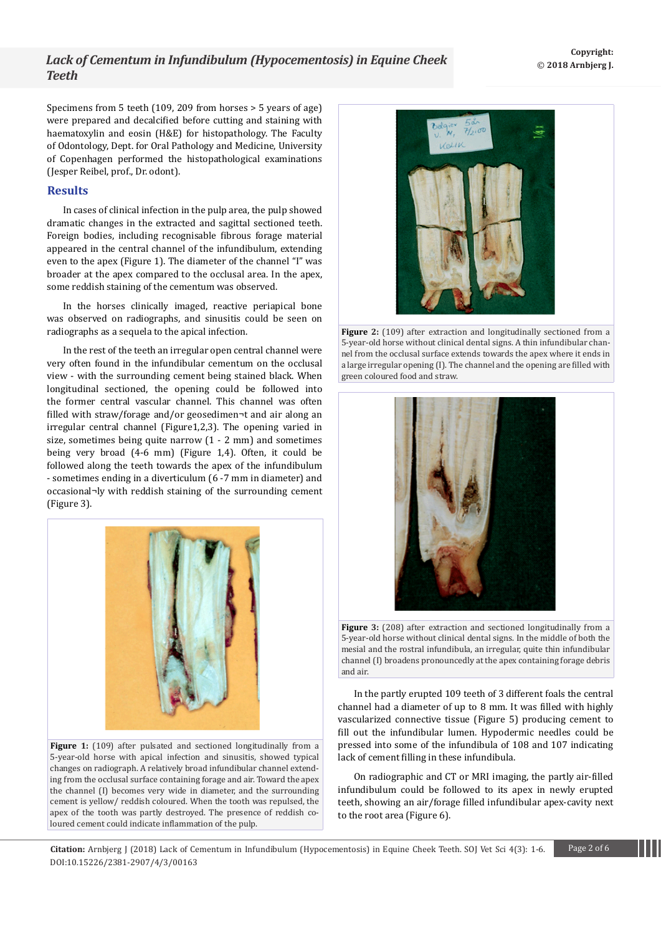## *Lack of Cementum in Infundibulum (Hypocementosis) in Equine Cheek Teeth*

Specimens from 5 teeth (109, 209 from horses > 5 years of age) were prepared and decalcified before cutting and staining with haematoxylin and eosin (H&E) for histopathology. The Faculty of Odontology, Dept. for Oral Pathology and Medicine, University of Copenhagen performed the histopathological examinations (Jesper Reibel, prof., Dr. odont).

### **Results**

In cases of clinical infection in the pulp area, the pulp showed dramatic changes in the extracted and sagittal sectioned teeth. Foreign bodies, including recognisable fibrous forage material appeared in the central channel of the infundibulum, extending even to the apex (Figure 1). The diameter of the channel "I" was broader at the apex compared to the occlusal area. In the apex, some reddish staining of the cementum was observed.

In the horses clinically imaged, reactive periapical bone was observed on radiographs, and sinusitis could be seen on radiographs as a sequela to the apical infection.

In the rest of the teeth an irregular open central channel were very often found in the infundibular cementum on the occlusal view - with the surrounding cement being stained black. When longitudinal sectioned, the opening could be followed into the former central vascular channel. This channel was often filled with straw/forage and/or geosedimen¬t and air along an irregular central channel (Figure1,2,3). The opening varied in size, sometimes being quite narrow (1 - 2 mm) and sometimes being very broad (4-6 mm) (Figure 1,4). Often, it could be followed along the teeth towards the apex of the infundibulum - sometimes ending in a diverticulum (6 -7 mm in diameter) and occasional¬ly with reddish staining of the surrounding cement (Figure 3).



Figure 1: (109) after pulsated and sectioned longitudinally from a 5-year-old horse with apical infection and sinusitis, showed typical changes on radiograph. A relatively broad infundibular channel extending from the occlusal surface containing forage and air. Toward the apex the channel (I) becomes very wide in diameter, and the surrounding cement is yellow/ reddish coloured. When the tooth was repulsed, the apex of the tooth was partly destroyed. The presence of reddish coloured cement could indicate inflammation of the pulp.



**Figure 2:** (109) after extraction and longitudinally sectioned from a 5-year-old horse without clinical dental signs. A thin infundibular channel from the occlusal surface extends towards the apex where it ends in a large irregular opening (I). The channel and the opening are filled with green coloured food and straw.





In the partly erupted 109 teeth of 3 different foals the central channel had a diameter of up to 8 mm. It was filled with highly vascularized connective tissue (Figure 5) producing cement to fill out the infundibular lumen. Hypodermic needles could be pressed into some of the infundibula of 108 and 107 indicating lack of cement filling in these infundibula.

On radiographic and CT or MRI imaging, the partly air-filled infundibulum could be followed to its apex in newly erupted teeth, showing an air/forage filled infundibular apex-cavity next to the root area (Figure 6).

**Citation:** Arnbjerg J (2018) Lack of Cementum in Infundibulum (Hypocementosis) in Equine Cheek Teeth. SOJ Vet Sci 4(3): 1-6. Page 2 of 6 DOI:10.15226/2381-2907/4/3/00163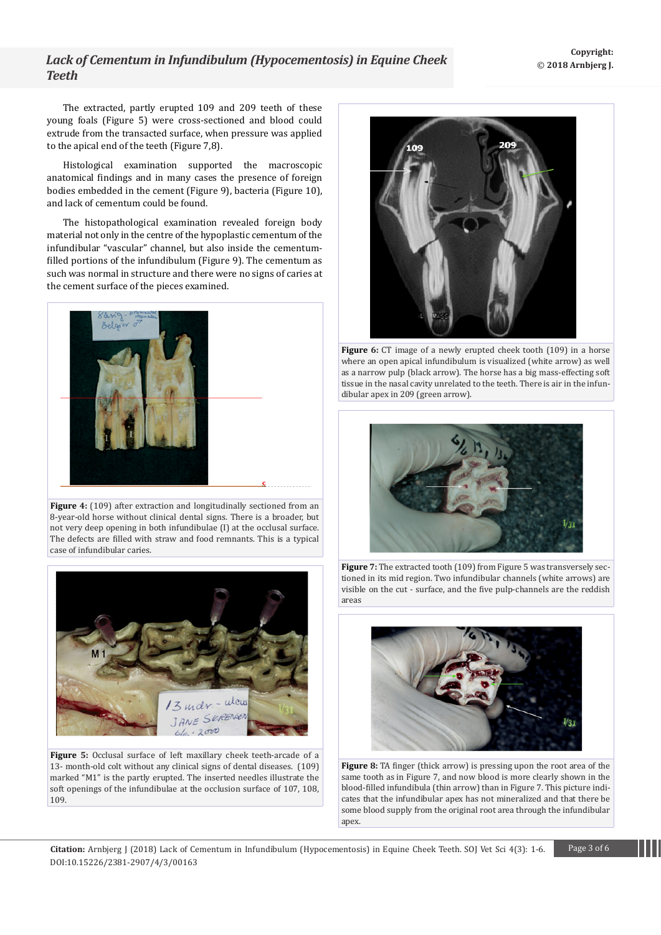# *Lack of Cementum in Infundibulum (Hypocementosis) in Equine Cheek Teeth*

The extracted, partly erupted 109 and 209 teeth of these young foals (Figure 5) were cross-sectioned and blood could extrude from the transacted surface, when pressure was applied to the apical end of the teeth (Figure 7,8).

Histological examination supported the macroscopic anatomical findings and in many cases the presence of foreign bodies embedded in the cement (Figure 9), bacteria (Figure 10), and lack of cementum could be found.

The histopathological examination revealed foreign body material not only in the centre of the hypoplastic cementum of the infundibular "vascular" channel, but also inside the cementumfilled portions of the infundibulum (Figure 9). The cementum as such was normal in structure and there were no signs of caries at the cement surface of the pieces examined.



**Figure 4:** (109) after extraction and longitudinally sectioned from an 8-year-old horse without clinical dental signs. There is a broader, but not very deep opening in both infundibulae (I) at the occlusal surface. The defects are filled with straw and food remnants. This is a typical case of infundibular caries.



**Figure 5:** Occlusal surface of left maxillary cheek teeth-arcade of a 13- month-old colt without any clinical signs of dental diseases. (109) marked "M1" is the partly erupted. The inserted needles illustrate the soft openings of the infundibulae at the occlusion surface of 107, 108, 109.



**Figure 6:** CT image of a newly erupted cheek tooth (109) in a horse where an open apical infundibulum is visualized (white arrow) as well as a narrow pulp (black arrow). The horse has a big mass-effecting soft tissue in the nasal cavity unrelated to the teeth. There is air in the infundibular apex in 209 (green arrow).



**Figure 7:** The extracted tooth (109) from Figure 5 was transversely sectioned in its mid region. Two infundibular channels (white arrows) are visible on the cut - surface, and the five pulp-channels are the reddish areas



**Figure 8:** TA finger (thick arrow) is pressing upon the root area of the same tooth as in Figure 7, and now blood is more clearly shown in the blood-filled infundibula (thin arrow) than in Figure 7. This picture indicates that the infundibular apex has not mineralized and that there be some blood supply from the original root area through the infundibular apex.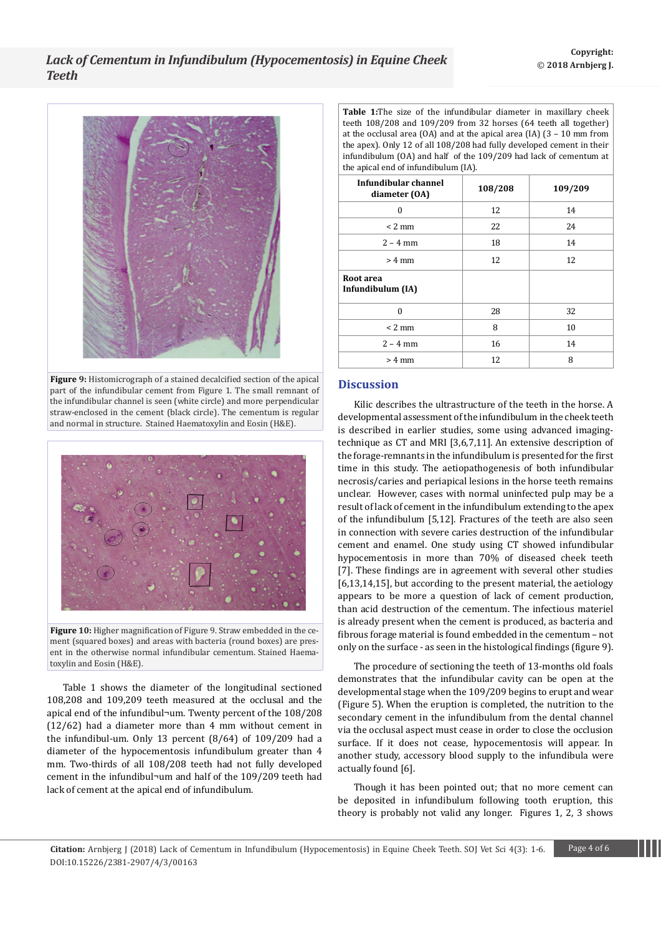

**Figure 9:** Histomicrograph of a stained decalcified section of the apical part of the infundibular cement from Figure 1. The small remnant of the infundibular channel is seen (white circle) and more perpendicular straw-enclosed in the cement (black circle). The cementum is regular and normal in structure. Stained Haematoxylin and Eosin (H&E).



**Figure 10:** Higher magnification of Figure 9. Straw embedded in the cement (squared boxes) and areas with bacteria (round boxes) are present in the otherwise normal infundibular cementum. Stained Haematoxylin and Eosin (H&E).

Table 1 shows the diameter of the longitudinal sectioned 108,208 and 109,209 teeth measured at the occlusal and the apical end of the infundibul¬um. Twenty percent of the 108/208 (12/62) had a diameter more than 4 mm without cement in the infundibul-um. Only 13 percent (8/64) of 109/209 had a diameter of the hypocementosis infundibulum greater than 4 mm. Two-thirds of all 108/208 teeth had not fully developed cement in the infundibul¬um and half of the 109/209 teeth had lack of cement at the apical end of infundibulum.

**Table 1:**The size of the infundibular diameter in maxillary cheek teeth 108/208 and 109/209 from 32 horses (64 teeth all together) at the occlusal area (OA) and at the apical area (IA) (3 – 10 mm from the apex). Only 12 of all 108/208 had fully developed cement in their infundibulum (OA) and half of the 109/209 had lack of cementum at the apical end of infundibulum (IA).

| Infundibular channel<br>diameter (OA) | 108/208 | 109/209 |
|---------------------------------------|---------|---------|
| $\theta$                              | 12      | 14      |
| $< 2$ mm                              | 22      | 24      |
| $2 - 4$ mm                            | 18      | 14      |
| $> 4$ mm                              | 12      | 12      |
| Root area<br>Infundibulum (IA)        |         |         |
| $\Omega$                              | 28      | 32      |
| $< 2$ mm                              | 8       | 10      |
| $2 - 4$ mm                            | 16      | 14      |
| $> 4$ mm                              | 12      | 8       |

## **Discussion**

Kilic describes the ultrastructure of the teeth in the horse. A developmental assessment of the infundibulum in the cheek teeth is described in earlier studies, some using advanced imagingtechnique as CT and MRI [3,6,7,11]. An extensive description of the forage-remnants in the infundibulum is presented for the first time in this study. The aetiopathogenesis of both infundibular necrosis/caries and periapical lesions in the horse teeth remains unclear. However, cases with normal uninfected pulp may be a result of lack of cement in the infundibulum extending to the apex of the infundibulum [5,12]. Fractures of the teeth are also seen in connection with severe caries destruction of the infundibular cement and enamel. One study using CT showed infundibular hypocementosis in more than 70% of diseased cheek teeth [7]. These findings are in agreement with several other studies [6,13,14,15], but according to the present material, the aetiology appears to be more a question of lack of cement production, than acid destruction of the cementum. The infectious materiel is already present when the cement is produced, as bacteria and fibrous forage material is found embedded in the cementum – not only on the surface - as seen in the histological findings (figure 9).

The procedure of sectioning the teeth of 13-months old foals demonstrates that the infundibular cavity can be open at the developmental stage when the 109/209 begins to erupt and wear (Figure 5). When the eruption is completed, the nutrition to the secondary cement in the infundibulum from the dental channel via the occlusal aspect must cease in order to close the occlusion surface. If it does not cease, hypocementosis will appear. In another study, accessory blood supply to the infundibula were actually found [6].

Though it has been pointed out; that no more cement can be deposited in infundibulum following tooth eruption, this theory is probably not valid any longer. Figures 1, 2, 3 shows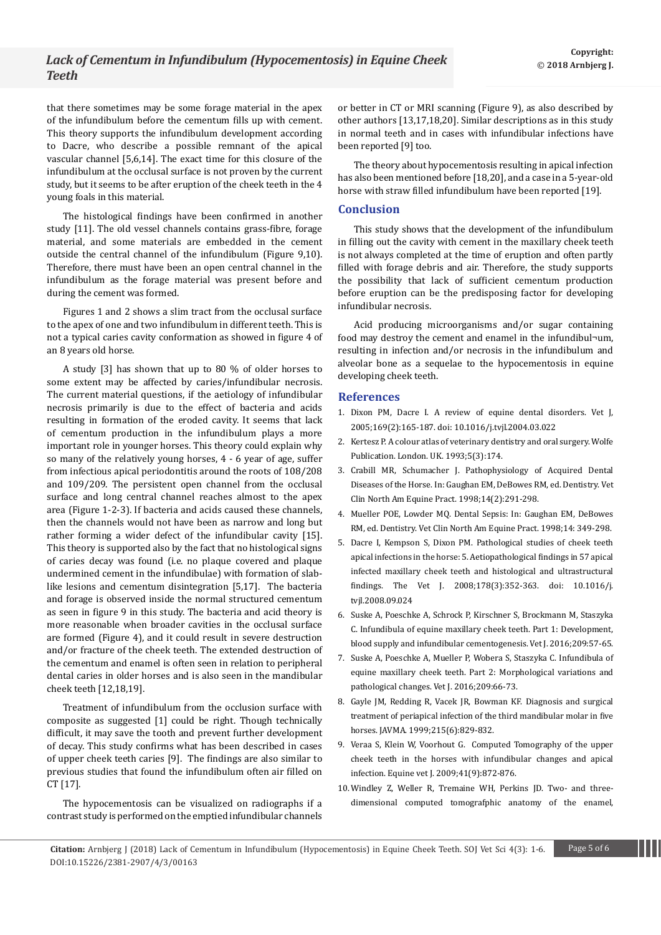that there sometimes may be some forage material in the apex of the infundibulum before the cementum fills up with cement. This theory supports the infundibulum development according to Dacre, who describe a possible remnant of the apical vascular channel [5,6,14]. The exact time for this closure of the infundibulum at the occlusal surface is not proven by the current study, but it seems to be after eruption of the cheek teeth in the 4 young foals in this material.

The histological findings have been confirmed in another study [11]. The old vessel channels contains grass-fibre, forage material, and some materials are embedded in the cement outside the central channel of the infundibulum (Figure 9,10). Therefore, there must have been an open central channel in the infundibulum as the forage material was present before and during the cement was formed.

Figures 1 and 2 shows a slim tract from the occlusal surface to the apex of one and two infundibulum in different teeth. This is not a typical caries cavity conformation as showed in figure 4 of an 8 years old horse.

A study [3] has shown that up to 80 % of older horses to some extent may be affected by caries/infundibular necrosis. The current material questions, if the aetiology of infundibular necrosis primarily is due to the effect of bacteria and acids resulting in formation of the eroded cavity. It seems that lack of cementum production in the infundibulum plays a more important role in younger horses. This theory could explain why so many of the relatively young horses, 4 - 6 year of age, suffer from infectious apical periodontitis around the roots of 108/208 and 109/209. The persistent open channel from the occlusal surface and long central channel reaches almost to the apex area (Figure 1-2-3). If bacteria and acids caused these channels, then the channels would not have been as narrow and long but rather forming a wider defect of the infundibular cavity [15]. This theory is supported also by the fact that no histological signs of caries decay was found (i.e. no plaque covered and plaque undermined cement in the infundibulae) with formation of slablike lesions and cementum disintegration [5,17]. The bacteria and forage is observed inside the normal structured cementum as seen in figure 9 in this study. The bacteria and acid theory is more reasonable when broader cavities in the occlusal surface are formed (Figure 4), and it could result in severe destruction and/or fracture of the cheek teeth. The extended destruction of the cementum and enamel is often seen in relation to peripheral dental caries in older horses and is also seen in the mandibular cheek teeth [12,18,19].

Treatment of infundibulum from the occlusion surface with composite as suggested [1] could be right. Though technically difficult, it may save the tooth and prevent further development of decay. This study confirms what has been described in cases of upper cheek teeth caries [9]. The findings are also similar to previous studies that found the infundibulum often air filled on CT [17].

The hypocementosis can be visualized on radiographs if a contrast study is performed on the emptied infundibular channels or better in CT or MRI scanning (Figure 9), as also described by other authors [13,17,18,20]. Similar descriptions as in this study in normal teeth and in cases with infundibular infections have been reported [9] too.

The theory about hypocementosis resulting in apical infection has also been mentioned before [18,20], and a case in a 5-year-old horse with straw filled infundibulum have been reported [19].

### **Conclusion**

This study shows that the development of the infundibulum in filling out the cavity with cement in the maxillary cheek teeth is not always completed at the time of eruption and often partly filled with forage debris and air. Therefore, the study supports the possibility that lack of sufficient cementum production before eruption can be the predisposing factor for developing infundibular necrosis.

Acid producing microorganisms and/or sugar containing food may destroy the cement and enamel in the infundibul¬um, resulting in infection and/or necrosis in the infundibulum and alveolar bone as a sequelae to the hypocementosis in equine developing cheek teeth.

#### **References**

- 1. [Dixon PM, Dacre I. A review of equine dental disorders. Vet J,](https://www.ncbi.nlm.nih.gov/pubmed/15727909)  [2005;169\(2\):165-187. doi: 10.1016/j.tvjl.2004.03.022](https://www.ncbi.nlm.nih.gov/pubmed/15727909)
- 2. [Kertesz P. A colour atlas of veterinary dentistry and oral surgery. Wolfe](https://onlinelibrary.wiley.com/doi/abs/10.1111/j.2042-3292.1993.tb01033.x)  [Publication. London. UK. 1993;5\(3\):174.](https://onlinelibrary.wiley.com/doi/abs/10.1111/j.2042-3292.1993.tb01033.x)
- 3. [Crabill MR, Schumacher J. Pathophysiology of Acquired Dental](https://www.sciencedirect.com/science/article/pii/S0749073917301992)  [Diseases of the Horse. In: Gaughan EM, DeBowes RM, ed. Dentistry. Vet](https://www.sciencedirect.com/science/article/pii/S0749073917301992)  [Clin North Am Equine Pract. 1998;14\(2\):291-298.](https://www.sciencedirect.com/science/article/pii/S0749073917301992)
- 4. Mueller POE, Lowder MQ. Dental Sepsis: In: Gaughan EM, DeBowes RM, ed. Dentistry. Vet Clin North Am Equine Pract. 1998;14: 349-298.
- 5. [Dacre I, Kempson S, Dixon PM. Pathological studies of cheek teeth](https://www.ncbi.nlm.nih.gov/pubmed/19022689)  [apical infections in the horse: 5. Aetiopathological findings in 57 apical](https://www.ncbi.nlm.nih.gov/pubmed/19022689)  [infected maxillary cheek teeth and histological and ultrastructural](https://www.ncbi.nlm.nih.gov/pubmed/19022689)  [findings. The Vet J. 2008;178\(3\):352-363. doi: 10.1016/j.](https://www.ncbi.nlm.nih.gov/pubmed/19022689) [tvjl.2008.09.024](https://www.ncbi.nlm.nih.gov/pubmed/19022689)
- 6. [Suske A, Poeschke A, Schrock P, Kirschner S, Brockmann M, Staszyka](https://www.sciencedirect.com/science/article/pii/S1090023315003202)  [C. Infundibula of equine maxillary cheek teeth. Part 1: Development,](https://www.sciencedirect.com/science/article/pii/S1090023315003202)  [blood supply and infundibular cementogenesis. Vet J. 2016;209:57-65.](https://www.sciencedirect.com/science/article/pii/S1090023315003202)
- 7. [Suske A, Poeschke A, Mueller P, Wobera S, Staszyka C. Infundibula of](https://www.sciencedirect.com/science/article/pii/S1090023315005171)  [equine maxillary cheek teeth. Part 2: Morphological variations and](https://www.sciencedirect.com/science/article/pii/S1090023315005171)  [pathological changes. Vet J. 2016;209:66-73.](https://www.sciencedirect.com/science/article/pii/S1090023315005171)
- 8. [Gayle JM, Redding R, Vacek JR, Bowman KF. Diagnosis and surgical](https://europepmc.org/abstract/med/10496139)  [treatment of periapical infection of the third mandibular molar in five](https://europepmc.org/abstract/med/10496139)  [horses. JAVMA. 1999;215\(6\):829-832.](https://europepmc.org/abstract/med/10496139)
- 9. [Veraa S, Klein W, Voorhout G. Computed Tomography of the upper](https://onlinelibrary.wiley.com/doi/abs/10.2746/042516409X452143)  [cheek teeth in the horses with infundibular changes and apical](https://onlinelibrary.wiley.com/doi/abs/10.2746/042516409X452143)  [infection. Equine vet J. 2009;41\(9\):872-876.](https://onlinelibrary.wiley.com/doi/abs/10.2746/042516409X452143)
- 10.[Windley Z, Weller R, Tremaine WH, Perkins JD. Two- and three](https://onlinelibrary.wiley.com/doi/abs/10.2746/042516409X390214)[dimensional computed tomografphic anatomy of the enamel,](https://onlinelibrary.wiley.com/doi/abs/10.2746/042516409X390214)